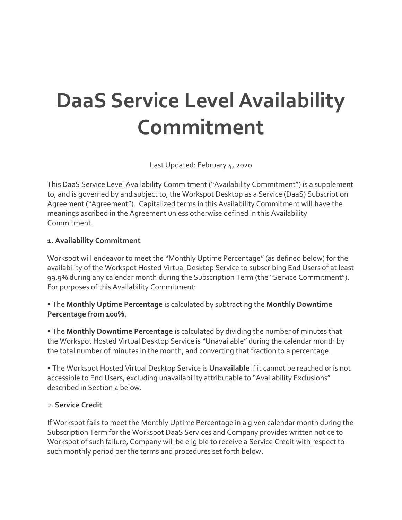# **DaaS Service Level Availability Commitment**

Last Updated: February 4, 2020

This DaaS Service Level Availability Commitment ("Availability Commitment") is a supplement to, and is governed by and subject to, the Workspot Desktop as a Service (DaaS) Subscription Agreement ("Agreement"). Capitalized terms in this Availability Commitment will have the meanings ascribed in the Agreement unless otherwise defined in this Availability **Commitment** 

#### **1. Availability Commitment**

Workspot will endeavor to meet the "Monthly Uptime Percentage" (as defined below) for the availability of the Workspot Hosted Virtual Desktop Service to subscribing End Users of at least 99.9% during any calendar month during the Subscription Term (the "Service Commitment"). For purposes of this Availability Commitment:

• The **Monthly Uptime Percentage** is calculated by subtracting the **Monthly Downtime Percentage from 100%**.

• The **Monthly Downtime Percentage** is calculated by dividing the number of minutes that the Workspot Hosted Virtual Desktop Service is "Unavailable" during the calendar month by the total number of minutes in the month, and converting that fraction to a percentage.

• The Workspot Hosted Virtual Desktop Service is **Unavailable** if it cannot be reached or is not accessible to End Users, excluding unavailability attributable to "Availability Exclusions" described in Section 4 below.

### 2. **Service Credit**

If Workspot fails to meet the Monthly Uptime Percentage in a given calendar month during the Subscription Term for the Workspot DaaS Services and Company provides written notice to Workspot of such failure, Company will be eligible to receive a Service Credit with respect to such monthly period per the terms and procedures set forth below.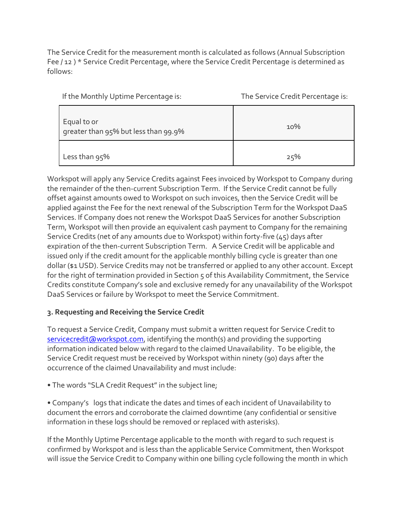The Service Credit for the measurement month is calculated as follows (Annual Subscription Fee / 12 ) \* Service Credit Percentage, where the Service Credit Percentage is determined as follows:

| If the Monthly Uptime Percentage is: | The Service Credit Percentage is: |
|--------------------------------------|-----------------------------------|
|--------------------------------------|-----------------------------------|

| Equal to or<br>greater than 95% but less than 99.9% | 10% |
|-----------------------------------------------------|-----|
| Less than 95%                                       | 25% |

Workspot will apply any Service Credits against Fees invoiced by Workspot to Company during the remainder of the then-current Subscription Term. If the Service Credit cannot be fully offset against amounts owed to Workspot on such invoices, then the Service Credit will be applied against the Fee for the next renewal of the Subscription Term for the Workspot DaaS Services. If Company does not renew the Workspot DaaS Services for another Subscription Term, Workspot will then provide an equivalent cash payment to Company for the remaining Service Credits (net of any amounts due to Workspot) within forty-five (45) days after expiration of the then-current Subscription Term. A Service Credit will be applicable and issued only if the credit amount for the applicable monthly billing cycle is greater than one dollar (\$1 USD). Service Credits may not be transferred or applied to any other account. Except for the right of termination provided in Section 5 of this Availability Commitment, the Service Credits constitute Company's sole and exclusive remedy for any unavailability of the Workspot DaaS Services or failure by Workspot to meet the Service Commitment.

## **3. Requesting and Receiving the Service Credit**

To request a Service Credit, Company must submit a written request for Service Credit to [servicecredit@workspot.com,](mailto:servicecredit@workspot.com) identifying the month(s) and providing the supporting information indicated below with regard to the claimed Unavailability. To be eligible, the Service Credit request must be received by Workspot within ninety (90) days after the occurrence of the claimed Unavailability and must include:

• The words "SLA Credit Request" in the subject line;

• Company's logs that indicate the dates and times of each incident of Unavailability to document the errors and corroborate the claimed downtime (any confidential or sensitive information in these logs should be removed or replaced with asterisks).

If the Monthly Uptime Percentage applicable to the month with regard to such request is confirmed by Workspot and is less than the applicable Service Commitment, then Workspot will issue the Service Credit to Company within one billing cycle following the month in which